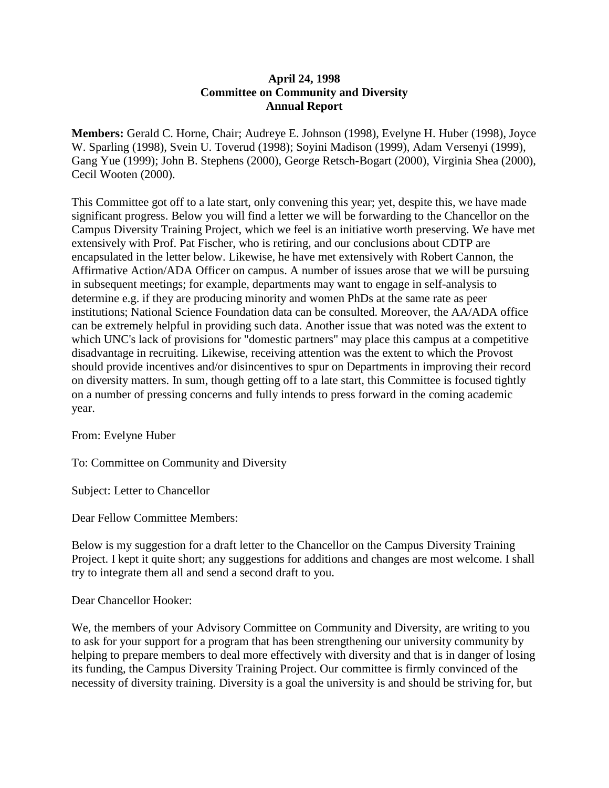## **April 24, 1998 Committee on Community and Diversity Annual Report**

**Members:** Gerald C. Horne, Chair; Audreye E. Johnson (1998), Evelyne H. Huber (1998), Joyce W. Sparling (1998), Svein U. Toverud (1998); Soyini Madison (1999), Adam Versenyi (1999), Gang Yue (1999); John B. Stephens (2000), George Retsch-Bogart (2000), Virginia Shea (2000), Cecil Wooten (2000).

This Committee got off to a late start, only convening this year; yet, despite this, we have made significant progress. Below you will find a letter we will be forwarding to the Chancellor on the Campus Diversity Training Project, which we feel is an initiative worth preserving. We have met extensively with Prof. Pat Fischer, who is retiring, and our conclusions about CDTP are encapsulated in the letter below. Likewise, he have met extensively with Robert Cannon, the Affirmative Action/ADA Officer on campus. A number of issues arose that we will be pursuing in subsequent meetings; for example, departments may want to engage in self-analysis to determine e.g. if they are producing minority and women PhDs at the same rate as peer institutions; National Science Foundation data can be consulted. Moreover, the AA/ADA office can be extremely helpful in providing such data. Another issue that was noted was the extent to which UNC's lack of provisions for "domestic partners" may place this campus at a competitive disadvantage in recruiting. Likewise, receiving attention was the extent to which the Provost should provide incentives and/or disincentives to spur on Departments in improving their record on diversity matters. In sum, though getting off to a late start, this Committee is focused tightly on a number of pressing concerns and fully intends to press forward in the coming academic year.

From: Evelyne Huber

To: Committee on Community and Diversity

Subject: Letter to Chancellor

Dear Fellow Committee Members:

Below is my suggestion for a draft letter to the Chancellor on the Campus Diversity Training Project. I kept it quite short; any suggestions for additions and changes are most welcome. I shall try to integrate them all and send a second draft to you.

Dear Chancellor Hooker:

We, the members of your Advisory Committee on Community and Diversity, are writing to you to ask for your support for a program that has been strengthening our university community by helping to prepare members to deal more effectively with diversity and that is in danger of losing its funding, the Campus Diversity Training Project. Our committee is firmly convinced of the necessity of diversity training. Diversity is a goal the university is and should be striving for, but